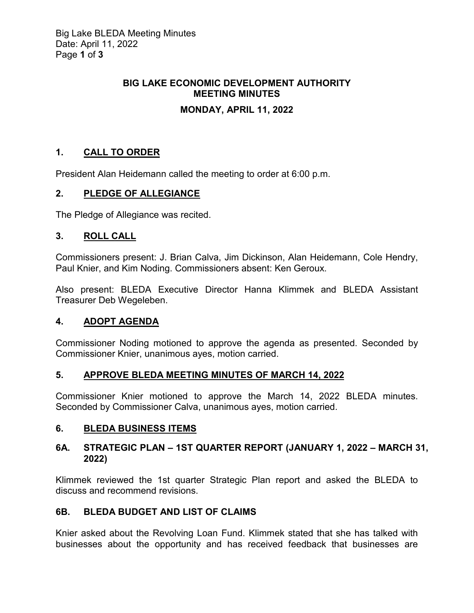### **BIG LAKE ECONOMIC DEVELOPMENT AUTHORITY MEETING MINUTES**

# **MONDAY, APRIL 11, 2022**

# **1. CALL TO ORDER**

President Alan Heidemann called the meeting to order at 6:00 p.m.

### **2. PLEDGE OF ALLEGIANCE**

The Pledge of Allegiance was recited.

### **3. ROLL CALL**

Commissioners present: J. Brian Calva, Jim Dickinson, Alan Heidemann, Cole Hendry, Paul Knier, and Kim Noding. Commissioners absent: Ken Geroux.

Also present: BLEDA Executive Director Hanna Klimmek and BLEDA Assistant Treasurer Deb Wegeleben.

# **4. ADOPT AGENDA**

Commissioner Noding motioned to approve the agenda as presented. Seconded by Commissioner Knier, unanimous ayes, motion carried.

### **5. APPROVE BLEDA MEETING MINUTES OF MARCH 14, 2022**

Commissioner Knier motioned to approve the March 14, 2022 BLEDA minutes. Seconded by Commissioner Calva, unanimous ayes, motion carried.

### **6. BLEDA BUSINESS ITEMS**

### **6A. STRATEGIC PLAN – 1ST QUARTER REPORT (JANUARY 1, 2022 – MARCH 31, 2022)**

Klimmek reviewed the 1st quarter Strategic Plan report and asked the BLEDA to discuss and recommend revisions.

# **6B. BLEDA BUDGET AND LIST OF CLAIMS**

Knier asked about the Revolving Loan Fund. Klimmek stated that she has talked with businesses about the opportunity and has received feedback that businesses are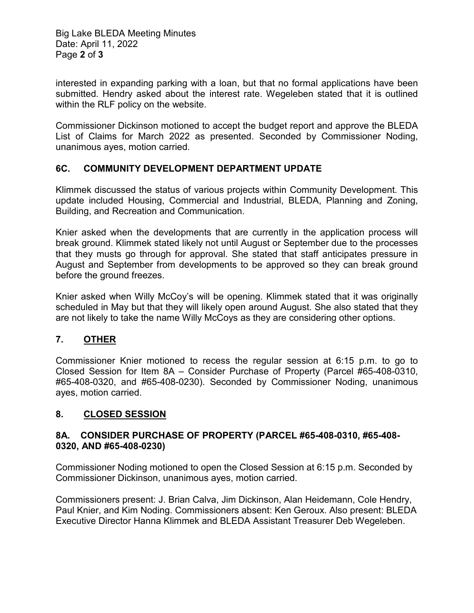Big Lake BLEDA Meeting Minutes Date: April 11, 2022 Page **2** of **3**

interested in expanding parking with a loan, but that no formal applications have been submitted. Hendry asked about the interest rate. Wegeleben stated that it is outlined within the RLF policy on the website.

Commissioner Dickinson motioned to accept the budget report and approve the BLEDA List of Claims for March 2022 as presented. Seconded by Commissioner Noding, unanimous ayes, motion carried.

#### **6C. COMMUNITY DEVELOPMENT DEPARTMENT UPDATE**

Klimmek discussed the status of various projects within Community Development. This update included Housing, Commercial and Industrial, BLEDA, Planning and Zoning, Building, and Recreation and Communication.

Knier asked when the developments that are currently in the application process will break ground. Klimmek stated likely not until August or September due to the processes that they musts go through for approval. She stated that staff anticipates pressure in August and September from developments to be approved so they can break ground before the ground freezes.

Knier asked when Willy McCoy's will be opening. Klimmek stated that it was originally scheduled in May but that they will likely open around August. She also stated that they are not likely to take the name Willy McCoys as they are considering other options.

### **7. OTHER**

Commissioner Knier motioned to recess the regular session at 6:15 p.m. to go to Closed Session for Item 8A – Consider Purchase of Property (Parcel #65-408-0310, #65-408-0320, and #65-408-0230). Seconded by Commissioner Noding, unanimous ayes, motion carried.

### **8. CLOSED SESSION**

#### **8A. CONSIDER PURCHASE OF PROPERTY (PARCEL #65-408-0310, #65-408- 0320, AND #65-408-0230)**

Commissioner Noding motioned to open the Closed Session at 6:15 p.m. Seconded by Commissioner Dickinson, unanimous ayes, motion carried.

Commissioners present: J. Brian Calva, Jim Dickinson, Alan Heidemann, Cole Hendry, Paul Knier, and Kim Noding. Commissioners absent: Ken Geroux. Also present: BLEDA Executive Director Hanna Klimmek and BLEDA Assistant Treasurer Deb Wegeleben.